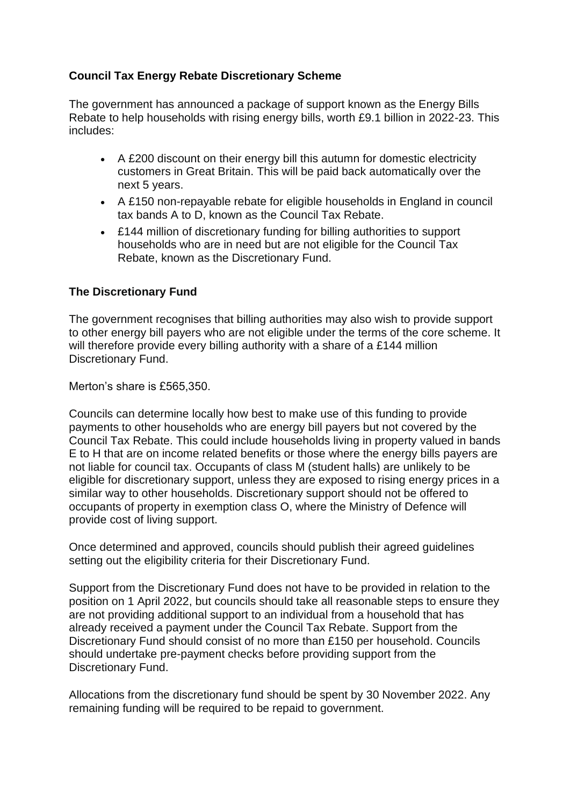# **Council Tax Energy Rebate Discretionary Scheme**

The government has announced a package of support known as the Energy Bills Rebate to help households with rising energy bills, worth £9.1 billion in 2022-23. This includes:

- A £200 discount on their energy bill this autumn for domestic electricity customers in Great Britain. This will be paid back automatically over the next 5 years.
- A £150 non-repayable rebate for eligible households in England in council tax bands A to D, known as the Council Tax Rebate.
- £144 million of discretionary funding for billing authorities to support households who are in need but are not eligible for the Council Tax Rebate, known as the Discretionary Fund.

# **The Discretionary Fund**

The government recognises that billing authorities may also wish to provide support to other energy bill payers who are not eligible under the terms of the core scheme. It will therefore provide every billing authority with a share of a £144 million Discretionary Fund.

Merton's share is £565,350.

Councils can determine locally how best to make use of this funding to provide payments to other households who are energy bill payers but not covered by the Council Tax Rebate. This could include households living in property valued in bands E to H that are on income related benefits or those where the energy bills payers are not liable for council tax. Occupants of class M (student halls) are unlikely to be eligible for discretionary support, unless they are exposed to rising energy prices in a similar way to other households. Discretionary support should not be offered to occupants of property in exemption class O, where the Ministry of Defence will provide cost of living support.

Once determined and approved, councils should publish their agreed guidelines setting out the eligibility criteria for their Discretionary Fund.

Support from the Discretionary Fund does not have to be provided in relation to the position on 1 April 2022, but councils should take all reasonable steps to ensure they are not providing additional support to an individual from a household that has already received a payment under the Council Tax Rebate. Support from the Discretionary Fund should consist of no more than £150 per household. Councils should undertake pre-payment checks before providing support from the Discretionary Fund.

Allocations from the discretionary fund should be spent by 30 November 2022. Any remaining funding will be required to be repaid to government.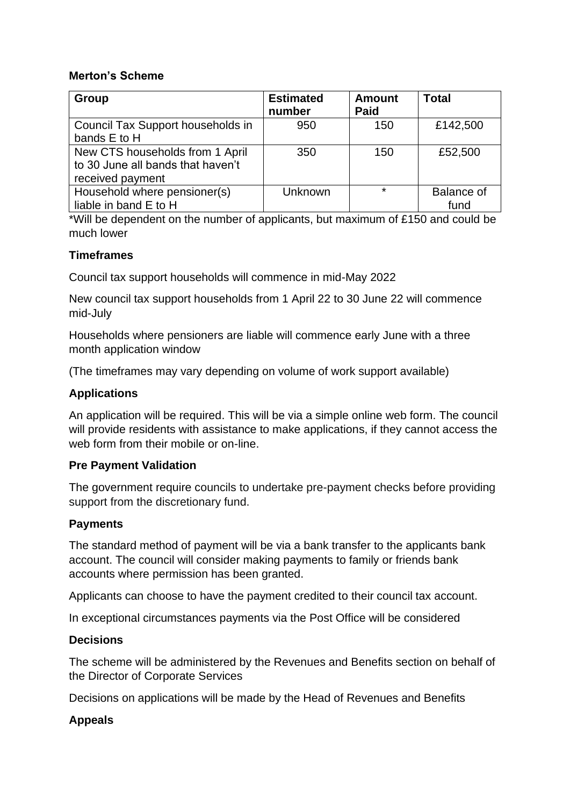#### **Merton's Scheme**

| Group                                                                                    | <b>Estimated</b><br>number | Amount<br><b>Paid</b> | <b>Total</b>              |
|------------------------------------------------------------------------------------------|----------------------------|-----------------------|---------------------------|
| Council Tax Support households in<br>bands E to H                                        | 950                        | 150                   | £142,500                  |
| New CTS households from 1 April<br>to 30 June all bands that haven't<br>received payment | 350                        | 150                   | £52,500                   |
| Household where pensioner(s)<br>liable in band E to H                                    | Unknown                    | $\star$               | <b>Balance of</b><br>fund |

\*Will be dependent on the number of applicants, but maximum of £150 and could be much lower

# **Timeframes**

Council tax support households will commence in mid-May 2022

New council tax support households from 1 April 22 to 30 June 22 will commence mid-July

Households where pensioners are liable will commence early June with a three month application window

(The timeframes may vary depending on volume of work support available)

# **Applications**

An application will be required. This will be via a simple online web form. The council will provide residents with assistance to make applications, if they cannot access the web form from their mobile or on-line.

# **Pre Payment Validation**

The government require councils to undertake pre-payment checks before providing support from the discretionary fund.

# **Payments**

The standard method of payment will be via a bank transfer to the applicants bank account. The council will consider making payments to family or friends bank accounts where permission has been granted.

Applicants can choose to have the payment credited to their council tax account.

In exceptional circumstances payments via the Post Office will be considered

#### **Decisions**

The scheme will be administered by the Revenues and Benefits section on behalf of the Director of Corporate Services

Decisions on applications will be made by the Head of Revenues and Benefits

# **Appeals**